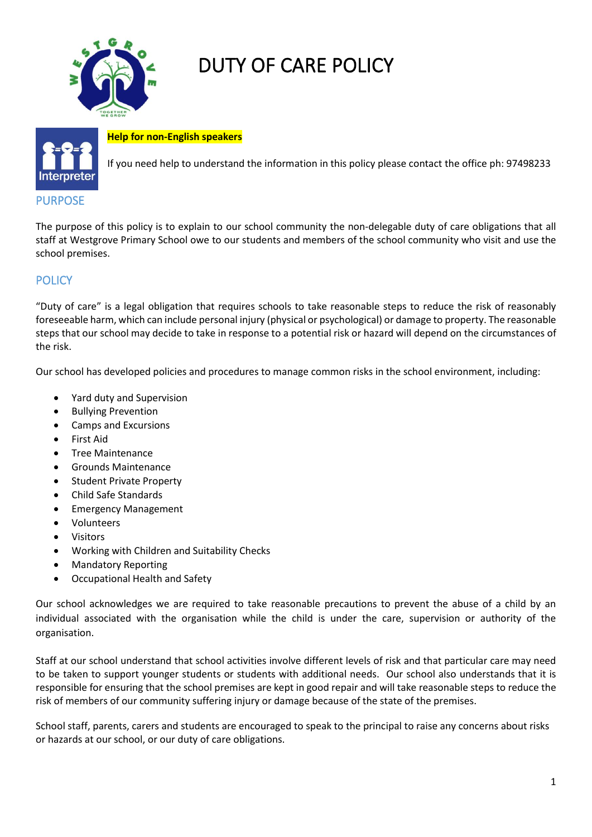

# DUTY OF CARE POLICY



**Help for non-English speakers**

If you need help to understand the information in this policy please contact the office ph: 97498233

### PURPOSE

The purpose of this policy is to explain to our school community the non-delegable duty of care obligations that all staff at Westgrove Primary School owe to our students and members of the school community who visit and use the school premises.

## **POLICY**

"Duty of care" is a legal obligation that requires schools to take reasonable steps to reduce the risk of reasonably foreseeable harm, which can include personal injury (physical or psychological) or damage to property. The reasonable steps that our school may decide to take in response to a potential risk or hazard will depend on the circumstances of the risk.

Our school has developed policies and procedures to manage common risks in the school environment, including:

- Yard duty and Supervision
- Bullying Prevention
- Camps and Excursions
- First Aid
- Tree Maintenance
- Grounds Maintenance
- **Student Private Property**
- Child Safe Standards
- Emergency Management
- Volunteers
- Visitors
- Working with Children and Suitability Checks
- Mandatory Reporting
- Occupational Health and Safety

Our school acknowledges we are required to take reasonable precautions to prevent the abuse of a child by an individual associated with the organisation while the child is under the care, supervision or authority of the organisation.

Staff at our school understand that school activities involve different levels of risk and that particular care may need to be taken to support younger students or students with additional needs. Our school also understands that it is responsible for ensuring that the school premises are kept in good repair and will take reasonable steps to reduce the risk of members of our community suffering injury or damage because of the state of the premises.

School staff, parents, carers and students are encouraged to speak to the principal to raise any concerns about risks or hazards at our school, or our duty of care obligations.